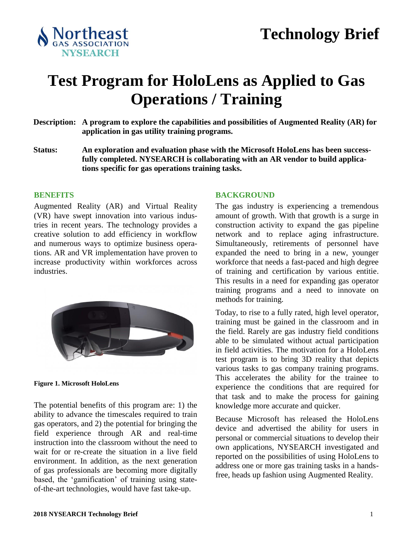

# **Test Program for HoloLens as Applied to Gas Operations / Training**

- **Description: A program to explore the capabilities and possibilities of Augmented Reality (AR) for application in gas utility training programs.**
- **Status: An exploration and evaluation phase with the Microsoft HoloLens has been successfully completed. NYSEARCH is collaborating with an AR vendor to build applications specific for gas operations training tasks.**

#### **BENEFITS**

Augmented Reality (AR) and Virtual Reality (VR) have swept innovation into various industries in recent years. The technology provides a creative solution to add efficiency in workflow and numerous ways to optimize business operations. AR and VR implementation have proven to increase productivity within workforces across industries.



**Figure 1. Microsoft HoloLens**

The potential benefits of this program are: 1) the ability to advance the timescales required to train gas operators, and 2) the potential for bringing the field experience through AR and real-time instruction into the classroom without the need to wait for or re-create the situation in a live field environment. In addition, as the next generation of gas professionals are becoming more digitally based, the 'gamification' of training using stateof-the-art technologies, would have fast take-up.

#### **BACKGROUND**

The gas industry is experiencing a tremendous amount of growth. With that growth is a surge in construction activity to expand the gas pipeline network and to replace aging infrastructure. Simultaneously, retirements of personnel have expanded the need to bring in a new, younger workforce that needs a fast-paced and high degree of training and certification by various entitie. This results in a need for expanding gas operator training programs and a need to innovate on methods for training.

Today, to rise to a fully rated, high level operator, training must be gained in the classroom and in the field. Rarely are gas industry field conditions able to be simulated without actual participation in field activities. The motivation for a HoloLens test program is to bring 3D reality that depicts various tasks to gas company training programs. This accelerates the ability for the trainee to experience the conditions that are required for that task and to make the process for gaining knowledge more accurate and quicker.

Because Microsoft has released the HoloLens device and advertised the ability for users in personal or commercial situations to develop their own applications, NYSEARCH investigated and reported on the possibilities of using HoloLens to address one or more gas training tasks in a handsfree, heads up fashion using Augmented Reality.